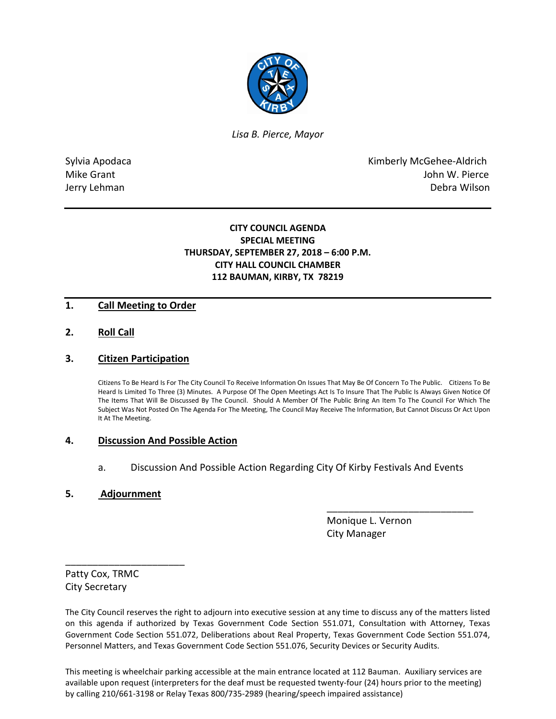

*Lisa B. Pierce, Mayor* 

Sylvia Apodaca **Kimberly McGehee-Aldrich** Mike Grant **Mike Grant** John W. Pierce Jerry Lehman Debra Wilson

# **CITY COUNCIL AGENDA SPECIAL MEETING THURSDAY, SEPTEMBER 27, 2018 – 6:00 P.M. CITY HALL COUNCIL CHAMBER 112 BAUMAN, KIRBY, TX 78219**

## **1. Call Meeting to Order**

**2. Roll Call**

### **3. Citizen Participation**

Citizens To Be Heard Is For The City Council To Receive Information On Issues That May Be Of Concern To The Public. Citizens To Be Heard Is Limited To Three (3) Minutes. A Purpose Of The Open Meetings Act Is To Insure That The Public Is Always Given Notice Of The Items That Will Be Discussed By The Council. Should A Member Of The Public Bring An Item To The Council For Which The Subject Was Not Posted On The Agenda For The Meeting, The Council May Receive The Information, But Cannot Discuss Or Act Upon It At The Meeting.

#### **4. Discussion And Possible Action**

a. Discussion And Possible Action Regarding City Of Kirby Festivals And Events

\_\_\_\_\_\_\_\_\_\_\_\_\_\_\_\_\_\_\_\_\_\_\_\_\_\_\_

#### **5. Adjournment**

\_\_\_\_\_\_\_\_\_\_\_\_\_\_\_\_\_\_\_\_\_\_

 Monique L. Vernon City Manager

Patty Cox, TRMC City Secretary

The City Council reserves the right to adjourn into executive session at any time to discuss any of the matters listed on this agenda if authorized by Texas Government Code Section 551.071, Consultation with Attorney, Texas Government Code Section 551.072, Deliberations about Real Property, Texas Government Code Section 551.074, Personnel Matters, and Texas Government Code Section 551.076, Security Devices or Security Audits.

This meeting is wheelchair parking accessible at the main entrance located at 112 Bauman. Auxiliary services are available upon request (interpreters for the deaf must be requested twenty-four (24) hours prior to the meeting) by calling 210/661-3198 or Relay Texas 800/735-2989 (hearing/speech impaired assistance)